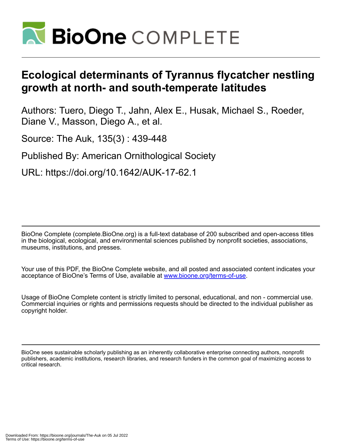

# **Ecological determinants of Tyrannus flycatcher nestling growth at north- and south-temperate latitudes**

Authors: Tuero, Diego T., Jahn, Alex E., Husak, Michael S., Roeder, Diane V., Masson, Diego A., et al.

Source: The Auk, 135(3) : 439-448

Published By: American Ornithological Society

URL: https://doi.org/10.1642/AUK-17-62.1

BioOne Complete (complete.BioOne.org) is a full-text database of 200 subscribed and open-access titles in the biological, ecological, and environmental sciences published by nonprofit societies, associations, museums, institutions, and presses.

Your use of this PDF, the BioOne Complete website, and all posted and associated content indicates your acceptance of BioOne's Terms of Use, available at www.bioone.org/terms-of-use.

Usage of BioOne Complete content is strictly limited to personal, educational, and non - commercial use. Commercial inquiries or rights and permissions requests should be directed to the individual publisher as copyright holder.

BioOne sees sustainable scholarly publishing as an inherently collaborative enterprise connecting authors, nonprofit publishers, academic institutions, research libraries, and research funders in the common goal of maximizing access to critical research.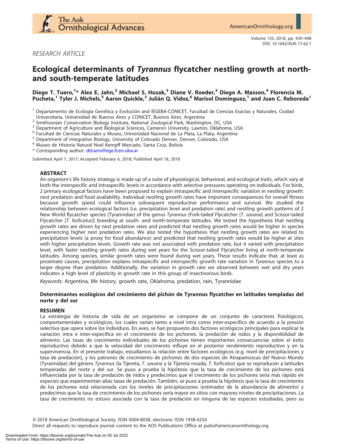

RESEARCH ARTICLE

# Ecological determinants of Tyrannus flycatcher nestling growth at northand south-temperate latitudes

# Diego T. Tuero,<sup>1</sup>\* Alex E. Jahn,<sup>2</sup> Michael S. Husak,<sup>3</sup> Diane V. Roeder,<sup>3</sup> Diego A. Masson,<sup>4</sup> Florencia M. Pucheta,<sup>1</sup> Tyler J. Michels,<sup>5</sup> Aaron Quickle,<sup>3</sup> Julián Q. Vidoz,<sup>6</sup> Marisol Domínguez,<sup>1</sup> and Juan C. Reboreda<sup>1</sup>

<sup>1</sup> Departamento de Ecología Genética y Evolución and IEGEBA-CONICET, Facultad de Ciencias Exactas y Naturales, Ciudad<br>Universitaria, Universidad de Buenos Aires y CONICET, Buenos Aires, Argentina

<sup>2</sup> Smithsonian Conservation Biology Institute, National Zoological Park, Washington, DC, USA  $^3$  Department of Agriculture and Biological Sciences, Cameron University, Lawton, Oklahoma, USA  $^4$  Facultad de Ciencias Nat

\* Corresponding author: [dttuero@ege.fcen.uba.ar](mailto:dttuero@ege.fcen.uba.ar)

Submitted April 7, 2017; Accepted February 6, 2018; Published April 18, 2018

#### ABSTRACT

An organism's life history strategy is made up of a suite of physiological, behavioral, and ecological traits, which vary at both the interspecific and intraspecific levels in accordance with selective pressures operating on individuals. For birds, 2 primary ecological factors have been proposed to explain intraspecific and interspecific variation in nestling growth: nest predation and food availability. Individual nestling growth rates have important consequences for overall fitness because growth speed could influence subsequent reproductive performance and survival. We studied the relationship between ecological factors (i.e. precipitation level and predation rate) and nestling growth patterns of 2 New World flycatcher species (Tyrannidae) of the genus Tyrannus (Fork-tailed Flycatcher [T. savana] and Scissor-tailed Flycatcher [T. forficatus]) breeding at south- and north-temperate latitudes. We tested the hypothesis that nestling growth rates are driven by nest predation rates and predicted that nestling growth rates would be higher in species experiencing higher nest predation rates. We also tested the hypothesis that nestling growth rates are related to precipitation levels (a proxy for food abundance) and predicted that nestling growth rates would be higher at sites with higher precipitation levels. Growth rate was not associated with predation rate, but it varied with precipitation level, with faster nestling growth rates during wet years for the Scissor-tailed Flycatcher living at north-temperate latitudes. Among species, similar growth rates were found during wet years. These results indicate that, at least as proximate causes, precipitation explains intraspecific and interspecific growth rate variation in Tyrannus species to a larger degree than predation. Additionally, the variation in growth rate we observed between wet and dry years indicates a high level of plasticity in growth rate in this group of insectivorous birds.

Keywords: Argentina, life history, growth rate, Oklahoma, predation, rain, Tyrannidae

## Determinantes ecológicos del crecimiento del pichón de Tyrannus flycatcher en latitudes templadas del norte y del sur

#### RESUMEN

La estrategia de historia de vida de un organismo se compone de un conjunto de caracteres fisiológicos, comportamentales y ecológicos, los cuales varían tanto a nivel intra como inter-especifico de acuerdo a la presión selectiva que opera sobre los individuos. En aves, se han propuesto dos factores ecológicos principales para explicar la variación intra e inter-especifica en el crecimiento de los pichones: la predación de nidos y la disponibilidad de alimento. Las tasas de crecimiento individuales de los pichones tienen importantes consecuencias sobre el éxito reproductivo debido a que la velocidad del crecimiento influye en el posterior rendimiento reproductivo y en la supervivencia. En el presente trabajo, estudiamos la relación entre factores ecológicos (e.g. nivel de precipitaciones y tasa de predacion), y los patrones de crecimiento de pichones de dos especies de Atrapamoscas del Nuevo Mundo ´ (Tyrannidae) del género Tyrannus (la Tijereta, T. savana y la Tijereta rosada, T. forficatus) que se reproducen a latitudes temperadas del norte y del sur. Se puso a prueba la hipótesis que la tasa de crecimiento de los pichones está influenciada por la tasa de predación de nidos y predecimos que el crecimiento de los pichones sería más rápido en especies que experimentan altas tasas de predación. También, se puso a prueba la hipótesis que la tasa de crecimiento de los pichones está relacionada con los niveles de precipitaciones (estimador de la abundancia de alimento) y predecimos que la tasa de crecimiento de los pichones sería mayor en sitios con mayores niveles de precipitaciones. La tasa de crecimiento no estuvo asociada con la tasa de predacion en ninguna de las especies estudiadas, pero su ´

Q 2018 American Ornithological Society. ISSN 0004-8038, electronic ISSN 1938-4254

Direct all requests to reproduce journal content to the AOS Publications Office at pubs@americanornithology.org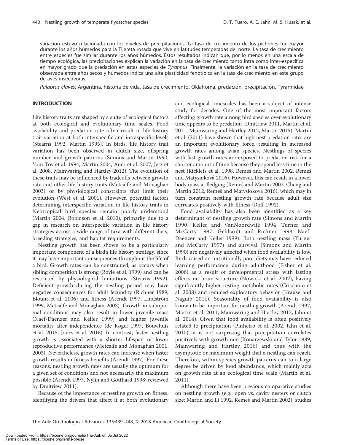variacion estuvo relacionada con los niveles de precipitaciones. La tasa de crecimiento de los pichones fue mayor ´ durante los años húmedos para la Tijereta rosada que vive en latitudes temperadas del norte. La tasa de crecimiento entre especies fue similar durante los años húmedos. Estos resultados indican que, por lo menos en una escala de tiempo ecológica, las precipitaciones explican la variación en la tasa de crecimiento tanto intra como inter-especifica en mayor grado que la predación en estas especies de Tyrannus. Finalmente, la variación en la tasa de crecimiento observada entre años secos y húmedos indica una alta plasticidad fenotípica en la tasa de crecimiento en este grupo de aves insectívoras.

Palabras claves: Argentina, historia de vida, tasa de crecimiento, Oklahoma, predación, precipitación, Tyrannidae

#### INTRODUCTION

Life history traits are shaped by a suite of ecological factors at both ecological and evolutionary time scales. Food availability and predation rate often result in life history trait variation at both interspecific and intraspecific levels (Stearns 1992, Martin 1995). In birds, life history trait variation has been observed in clutch size, offspring number, and growth patterns (Simons and Martin 1990, Yom-Tov et al. 1994, Martin 2004, Auer et al. 2007, Jetz et al. 2008, Mainwaring and Hartley 2012). The evolution of these traits may be influenced by tradeoffs between growth rate and other life history traits (Metcalfe and Monaghan 2003) or by physiological constraints that limit their evolution (West et al. 2001). However, potential factors determining interspecific variation in life history traits in Neotropical bird species remain poorly understood (Martin 2004, Robinson et al. 2010), primarily due to a gap in research on interspecific variation in life history strategies across a wide range of taxa with different diets, breeding strategies, and habitat requirements.

Nestling growth has been shown to be a particularly important component of a bird's life history strategy, since it may have important consequences throughout the life of a bird. Growth rates can be constrained, as occurs when sibling competition is strong (Royle et al. 1999) and can be restricted by physiological limitations (Stearns 1992). Deficient growth during the nestling period may have negative consequences for adult fecundity (Richner 1989, Blount et al. 2006) and fitness (Arendt 1997, Lindström 1999, Metcalfe and Monaghan 2003). Growth in suboptimal conditions may also result in lower juvenile mass (Naef-Daenzer and Keller 1999) and higher juvenile mortality after independence (de Kogel 1997, Bouwhuis et al. 2015, Jones et al. 2016). In contrast, faster nestling growth is associated with a shorter lifespan or lower reproductive performance (Metcalfe and Monaghan 2001, 2003). Nevertheless, growth rates can increase when faster growth results in fitness benefits (Arendt 1997). For these reasons, nestling growth rates are usually the optimum for a given set of conditions and not necessarily the maximum possible (Arendt 1997, Nylin and Gotthard 1998; reviewed by Dmitriew 2011).

Because of the importance of nestling growth on fitness, identifying the drivers that affect it at both evolutionary

and ecological timescales has been a subject of intense study for decades. One of the most important factors affecting growth rate among bird species over evolutionary time appears to be predation (Dmitriew 2011, Martin et al. 2011, Mainwaring and Hartley 2012, Martin 2015). Martin et al. (2011) have shown that high nest predation rates are an important evolutionary force, resulting in increased growth rates among avian species. Nestlings of species with fast growth rates are exposed to predation risk for a shorter amount of time because they spend less time in the nest (Ricklefs et al. 1998, Remeš and Martin 2002, Remeš and Matysiokova´ 2016). However, this can result in a lower body mass at fledging (Remeš and Martin 2002, Cheng and Martin 2012, Remeš and Matysioková 2016), which may in turn constrain nestling growth rate because adult size correlates positively with fitness (Roff 1992).

Food availability has also been identified as a key determinant of nestling growth rate (Simons and Martin 1990, Keller and VanNoordwijk 1994, Turner and McCarty 1997, Gebhardt and Richner 1998, Naef-Daenzer and Keller 1999). Both nestling mass (Turner and McCarty 1997) and survival (Simons and Martin 1990) are negatively affected when food availability is low. Birds raised on nutritionally poor diets may have reduced learning performance during adulthood (Fisher et al. 2006) as a result of developmental stress with lasting effects on brain structure (Nowicki et al. 2002), having significantly higher resting metabolic rates (Criscuolo et al. 2008) and reduced exploratory behavior (Krause and Naguib 2011). Seasonality of food availability is also known to be important for nestling growth (Arendt 1997, Martin et al. 2011, Mainwaring and Hartley 2012, Jahn et al. 2014). Given that food availability is often positively related to precipitation (Pinheiro et al. 2002, Jahn et al. 2010), it is not surprising that precipitation correlates positively with growth rate (Konarzewski and Tylor 1989, Mainwaring and Hartley 2016) and thus with the asymptotic or maximum weight that a nestling can reach. Therefore, within-species growth patterns can to a large degree be driven by food abundance, which mainly acts on growth rate at an ecological time scale (Martin et al. 2011).

Although there have been previous comparative studies on nestling growth (e.g., open vs. cavity nesters or clutch size; Martin and Li 1992, Remeš and Martin 2002), studies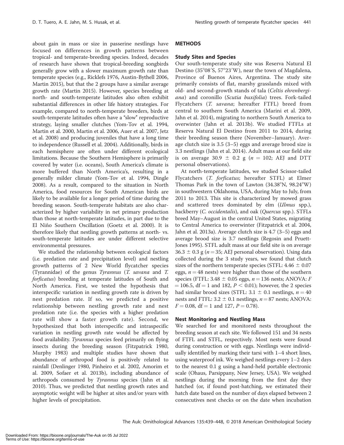about gain in mass or size in passerine nestlings have focused on differences in growth patterns between tropical- and temperate-breeding species. Indeed, decades of research have shown that tropical-breeding songbirds generally grow with a slower maximum growth rate than temperate species (e.g., Ricklefs 1976, Austin-Bythell 2006, Martin 2015), but that the 2 groups have a similar average growth rate (Martin 2015). However, species breeding at north- and south-temperate latitudes also often exhibit substantial differences in other life history strategies. For example, compared to north-temperate breeders, birds at south-temperate latitudes often have a "slow" reproductive strategy, laying smaller clutches (Yom-Tov et al. 1994, Martin et al. 2000, Martin et al. 2006, Auer et al. 2007, Jetz et al. 2008) and producing juveniles that have a long time to independence (Russell et al. 2004). Additionally, birds in each hemisphere are often under different ecological limitations. Because the Southern Hemisphere is primarily covered by water (i.e. oceans), South America's climate is more buffered than North America's, resulting in a generally milder climate (Yom-Tov et al. 1994, Dingle 2008). As a result, compared to the situation in North America, food resources for South American birds are likely to be available for a longer period of time during the breeding season. South-temperate habitats are also characterized by higher variability in net primary production than those at north-temperate latitudes, in part due to the El Niño Southern Oscillation (Goetz et al. 2000). It is therefore likely that nestling growth patterns at north- vs. south-temperate latitudes are under different selective environmental pressures.

We studied the relationship between ecological factors (i.e. predation rate and precipitation level) and nestling growth patterns of 2 New World flycatcher species (Tyrannidae) of the genus Tyrannus (T. savana and T. forficatus) breeding at temperate latitudes of South and North America. First, we tested the hypothesis that interspecific variation in nestling growth rate is driven by nest predation rate. If so, we predicted a positive relationship between nestling growth rate and nest predation rate (i.e. the species with a higher predation rate will show a faster growth rate). Second, we hypothesized that both interspecific and intraspecific variation in nestling growth rate would be affected by food availability. Tyrannus species feed primarily on flying insects during the breeding season (Fitzpatrick 1980, Murphy 1983) and multiple studies have shown that abundance of arthropod food is positively related to rainfall (Denlinger 1980, Pinheiro et al. 2002, Amorim et al. 2009, Sofaer et al. 2013b), including abundance of arthropods consumed by Tyrannus species (Jahn et al. 2010). Thus, we predicted that nestling growth rates and asymptotic weight will be higher at sites and/or years with higher levels of precipitation.

# METHODS

#### Study Sites and Species

Our south-temperate study site was Reserva Natural El Destino (35 $^{\circ}08'$ S, 57 $^{\circ}23'$ W), near the town of Magdalena, Province of Buenos Aires, Argentina. The study site primarily consists of flat, marshy grasslands mixed with old- and second-growth stands of tala (Celtis ehrenbergiana) and coronillo (Scutia buxifolia) trees. Fork-tailed Flycatchers (T. savana; hereafter FTFL) breed from central to southern South America (Marini et al. 2009, Jahn et al. 2014), migrating to northern South America to overwinter (Jahn et al. 2013b). We studied FTFLs at Reserva Natural El Destino from 2011 to 2014, during their breeding season there (November–January). Average clutch size is 3.5 (3–5) eggs and average brood size is 3.3 nestlings (Jahn et al. 2014). Adult mass at our field site is on average 30.9  $\pm$  0.2 g (n = 102; AEJ and DTT personal observations).

At north-temperate latitudes, we studied Scissor-tailed Flycatchers (T. forficatus; hereafter STFL) at Elmer Thomas Park in the town of Lawton  $(34.38^{\circ}N, 98.24^{\circ}W)$ in southwestern Oklahoma, USA, during May to July, from 2011 to 2013. This site is characterized by mowed grass and scattered trees dominated by elm (Ulmus spp.), hackberry (*C. occidentalis*), and oak (*Quercus* spp.). STFLs breed May–August in the central United States, migrating to Central America to overwinter (Fitzpatrick et al. 2004, Jahn et al. 2013a). Average clutch size is 4.7 (3–5) eggs and average brood size is 3.7 nestlings (Regosin and Pruett-Jones 1995). STFL adult mass at our field site is on average  $36.3 \pm 0.3$  g ( $n = 35$ ; AEJ personal observation). Using data collected during the 3 study years, we found that clutch sizes of the northern temperate species (STFL:  $4.46 \pm 0.07$ eggs,  $n = 48$  nests) were higher than those of the southern species (FTFL: 3.48  $\pm$  0.05 eggs,  $n = 136$  nests; ANOVA: F  $= 106.5$ , df  $= 1$  and 182,  $P < 0.01$ ); however, the 2 species had similar brood sizes (STFL: 3.1  $\pm$  0.1 nestlings,  $n = 40$ nests and FTFL:  $3.2 \pm 0.1$  nestlings,  $n = 87$  nests; ANOVA:  $F = 0.08$ , df = 1 and 127,  $P = 0.78$ ).

#### Nest Monitoring and Nestling Mass

We searched for and monitored nests throughout the breeding season at each site. We followed 151 and 34 nests of FTFL and STFL, respectively. Most nests were found during construction or with eggs. Nestlings were individually identified by marking their tarsi with 1–4 short lines, using waterproof ink. We weighed nestlings every 1–2 days to the nearest 0.1 g using a hand-held portable electronic scale (Ohaus, Parsippany, New Jersey, USA). We weighed nestlings during the morning from the first day they hatched (or, if found post-hatching, we estimated their hatch date based on the number of days elapsed between 2 consecutives nest checks or on the date when incubation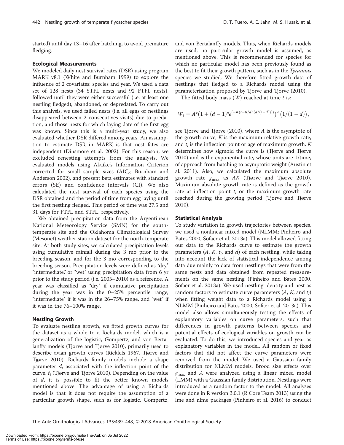started) until day 13–16 after hatching, to avoid premature fledging.

#### Ecological Measurements

We modeled daily nest survival rates (DSR) using program MARK v8.1 (White and Burnham 1999) to explore the influence of 2 covariates: species and year. We used a data set of 128 nests (34 STFL nests and 92 FTFL nests), followed until they were either successful (i.e. at least one nestling fledged), abandoned, or depredated. To carry out this analysis, we used failed nests (i.e. all eggs or nestlings disappeared between 2 consecutives visits) due to predation, and those nests for which laying date of the first egg was known. Since this is a multi-year study, we also evaluated whether DSR differed among years. An assumption to estimate DSR in MARK is that nest fates are independent (Dinsmore et al. 2002). For this reason, we excluded renesting attempts from the analysis. We evaluated models using Akaike's Information Criterion corrected for small sample sizes  $(AIC_c;$  Burnham and Anderson 2002), and present beta estimates with standard errors (SE) and confidence intervals (CI). We also calculated the nest survival of each species using the DSR obtained and the period of time from egg laying until the first nestling fledged. This period of time was 27.5 and 31 days for FTFL and STFL, respectively.

We obtained precipitation data from the Argentinean National Meteorology Service (SMN) for the southtemperate site and the Oklahoma Climatological Survey (Mesonet) weather station dataset for the north-temperate site. At both study sites, we calculated precipitation levels using cumulative rainfall during the 3 mo prior to the breeding season, and for the 3 mo corresponding to the breeding season. Precipitation levels were defined as "dry," "intermediate," or "wet" using precipitation data from 6 yr prior to the study period (i.e. 2005–2010) as a reference. A year was classified as "dry" if cumulative precipitation during the year was in the 0–25% percentile range, "intermediate" if it was in the  $26-75%$  range, and "wet" if it was in the 76–100% range.

#### Nestling Growth

To evaluate nestling growth, we fitted growth curves for the dataset as a whole to a Richards model, which is a generalization of the logistic, Gompertz, and von Bertalanffy models (Tjørve and Tjørve 2010), primarily used to describe avian growth curves (Ricklefs 1967, Tjørve and Tjørve 2010). Richards family models include a shape parameter d, associated with the inflection point of the curve,  $t_i$  (Tjørve and Tjørve 2010). Depending on the value of  $d$ , it is possible to fit the better known models mentioned above. The advantage of using a Richards model is that it does not require the assumption of a particular growth shape, such as for logistic, Gompertz,

and von Bertalanffy models. Thus, when Richards models are used, no particular growth model is assumed, as mentioned above. This is recommended for species for which no particular model has been previously found as the best to fit their growth pattern, such as in the Tyrannus species we studied. We therefore fitted growth data of nestlings that fledged to a Richards model using the parameterization proposed by Tjørve and Tjørve (2010).

The fitted body mass  $(W)$  reached at time t is:

$$
W_t=A^*\big(1+(d-1)^*e^{(-K(t-ti/d\wedge (d/(1-d))))}\big)\wedge \big(1/(1-d)\big),
$$

see Tjørve and Tjørve (2010), where A is the asymptote of the growth curve,  $K$  is the maximum relative growth rate, and  $t_i$  is the inflection point or age of maximum growth.  $K$ determines how sigmoid the curve is (Tjørve and Tjørve 2010) and is the exponential rate, whose units are 1/time, of approach from hatching to asymptotic weight (Austin et al. 2011). Also, we calculated the maximum absolute growth rate  $g_{\text{max}}$  as AK (Tjørve and Tjørve 2010). Maximum absolute growth rate is defined as the growth rate at inflection point  $t_i$  or the maximum growth rate reached during the growing period (Tjørve and Tjørve 2010).

#### Statistical Analysis

To study variation in growth trajectories between species, we used a nonlinear mixed model (NLMM; Pinheiro and Bates 2000, Sofaer et al. 2013a). This model allowed fitting our data to the Richards curve to estimate the growth parameters  $(A, K, t_i)$  and d) of each nestling, while taking into account the lack of statistical independence among data due mainly to data from nestlings that were from the same nests and data obtained from repeated measurements on the same nestling (Pinheiro and Bates 2000, Sofaer et al. 2013a). We used nestling identity and nest as random factors to estimate curve parameters  $(A, K, \text{ and } t_i)$ when fitting weight data to a Richards model using a NLMM (Pinheiro and Bates 2000, Sofaer et al. 2013a). This model also allows simultaneously testing the effects of explanatory variables on curve parameters, such that differences in growth patterns between species and potential effects of ecological variables on growth can be evaluated. To do this, we introduced species and year as explanatory variables in the model. All random or fixed factors that did not affect the curve parameters were removed from the model. We used a Gaussian family distribution for NLMM models. Brood size effects over  $g_{\text{max}}$  and A were analyzed using a linear mixed model (LMM) with a Gaussian family distribution. Nestlings were introduced as a random factor to the model. All analyses were done in R version 3.0.1 (R Core Team 2013) using the lme and nlme packages (Pinheiro et al. 2016) to conduct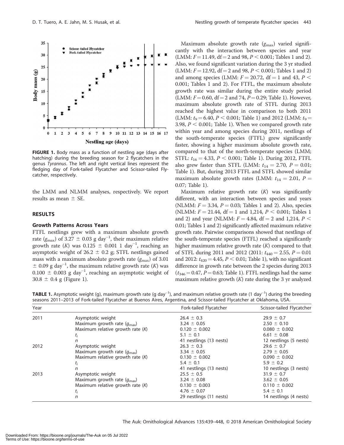

FIGURE 1. Body mass as a function of nestling age (days after hatching) during the breeding season for 2 flycatchers in the genus Tyrannus. The left and right vertical lines represent the fledging day of Fork-tailed Flycatcher and Scissor-tailed Flycatcher, respectively.

the LMM and NLMM analyses, respectively. We report results as mean  $\pm$  SE.

#### RESULTS

#### Growth Patterns Across Years

FTFL nestlings grew with a maximum absolute growth rate ( $g_{\text{max}}$ ) of 3.27  $\pm$  0.03 g day<sup>-1</sup>, their maximum relative growth rate (K) was  $0.125 \pm 0.001$  1 day<sup>-1</sup>, reaching an asymptotic weight of 26.2  $\pm$  0.2 g; STFL nestlings gained mass with a maximum absolute growth rate  $(g<sub>max</sub>)$  of 3.01  $\pm$  0.09 g day<sup>-1</sup>, the maximum relative growth rate (K) was  $0.100 \pm 0.003$  g day<sup>-1</sup>, reaching an asymptotic weight of  $30.8 \pm 0.4$  g (Figure 1).

Maximum absolute growth rate  $(g_{\text{max}})$  varied significantly with the interaction between species and year  $(LMM: F = 11.49, df = 2$  and 98,  $P < 0.001$ ; Tables 1 and 2). Also, we found significant variation during the 3 yr studied (LMM:  $F = 12.92$ , df = 2 and 98,  $P < 0.001$ ; Tables 1 and 2) and among species (LMM:  $F = 20.72$ , df = 1 and 43,  $P <$ 0.001; Tables 1 and 2). For FTFL, the maximum absolute growth rate was similar during the entire study period (LMM:  $F = 0.60$ , df = 2 and 74,  $P = 0.29$ ; Table 1). However, maximum absolute growth rate of STFL during 2013 reached the highest value in comparison to both 2011 (LMM:  $t_9 = 6.40, P < 0.001$ ; Table 1) and 2012 (LMM:  $t_9 =$ 3.98,  $P < 0.001$ ; Table 1). When we compared growth rate within year and among species during 2011, nestlings of the south-temperate species (FTFL) grew significantly faster, showing a higher maximum absolute growth rate, compared to that of the north-temperate species (LMM; STFL:  $t_{16} = 4.33$ ,  $P < 0.001$ ; Table 1). During 2012, FTFL also grew faster than STFL (LMM:  $t_{14} = 2.70$ ,  $P = 0.01$ ; Table 1). But, during 2013 FTFL and STFL showed similar maximum absolute growth rates (LMM:  $t_{14} = 2.01$ ,  $P =$ 0.07; Table 1).

Maximum relative growth rate  $(K)$  was significantly different, with an interaction between species and years (NLMM:  $F = 3.34$ ,  $P = 0.03$ ; Tables 1 and 2). Also, species (NLMM:  $F = 21.44$ , df = 1 and 1,214,  $P < 0.001$ ; Tables 1 and 2) and year (NLMM:  $F = 4.84$ , df = 2 and 1,214,  $P <$ 0.01; Tables 1 and 2) significantly affected maximum relative growth rate. Pairwise comparisons showed that nestlings of the south-temperate species (FTFL) reached a significantly higher maximum relative growth rate  $(K)$  compared to that of STFL during 2011 and 2012 (2011:  $t_{440} = 2.55$ ,  $P = 0.01$ and 2012:  $t_{420} = 4.45$ ,  $P < 0.01$ ; Table 1), with no significant difference in growth rate between the 2 species during 2013  $(t_{346} = 0.47, P = 0.63;$  Table 1). FTFL nestlings had the same maximum relative growth  $(K)$  rate during the 3 yr analyzed

**TABLE 1.** Asymptotic weight (g), maximum growth rate (g day<sup>-1</sup>), and maximum relative growth rate (1 day<sup>-1</sup>) during the breeding seasons 2011–2013 of Fork-tailed Flycatcher at Buenos Aires, Argentina, and Scissor-tailed Flycatcher at Oklahoma, USA.

| Year |                                        | Fork-tailed Flycatcher  | Scissor-tailed Flycatcher |
|------|----------------------------------------|-------------------------|---------------------------|
| 2011 | Asymptotic weight                      | $26.4 \pm 0.3$          | $29.9 \pm 0.7$            |
|      | Maximum growth rate $(q_{\text{max}})$ | $3.24 \pm 0.05$         | $2.50 \pm 0.10$           |
|      | Maximum relative growth rate $(K)$     | $0.120 \pm 0.002$       | $0.080 \pm 0.002$         |
|      | t,                                     | $5.1 \pm 0.1$           | $6.61 \pm 0.08$           |
|      | n                                      | 41 nestlings (13 nests) | 12 nestlings (5 nests)    |
| 2012 | Asymptotic weight                      | $26.3 \pm 0.3$          | $29.6 \pm 0.7$            |
|      | Maximum growth rate $(q_{\text{max}})$ | $3.34 \pm 0.05$         | $2.79 \pm 0.05$           |
|      | Maximum relative growth rate $(K)$     | $0.130 \pm 0.002$       | $0.090 \pm 0.002$         |
|      | $\tau_i$                               | $5.4 \pm 0.1$           | $5.9 \pm 0.2$             |
|      | n                                      | 41 nestlings (13 nests) | 10 nestlings (3 nests)    |
| 2013 | Asymptotic weight                      | $25.5 \pm 0.5$          | $31.9 \pm 0.7$            |
|      | Maximum growth rate $(q_{\text{max}})$ | $3.24 \pm 0.08$         | $3.62 \pm 0.05$           |
|      | Maximum relative growth rate $(K)$     | $0.130 \pm 0.003$       | $0.110 \pm 0.002$         |
|      | t <sub>i</sub>                         | 4.76 $\pm$ 0.07         | $5.4 \pm 0.1$             |
|      | n                                      | 29 nestlings (11 nests) | 14 nestlings (4 nests)    |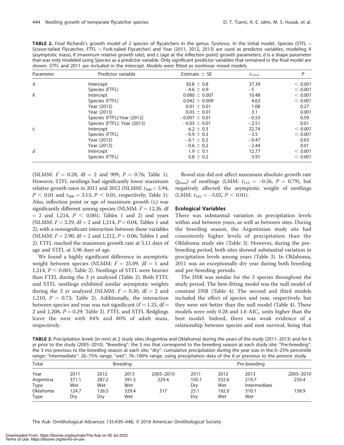TABLE 2. Final Richards's growth model of 2 species of flycatchers in the genus Tyrannus. In the initial model, Species (STFL  $=$ Scissor-tailed Flycatcher, FTFL = Fork-tailed Flycatcher) and Year (2011, 2012, 2013) are used as predictor variables, modeling A (asymptotic mass), K (maximum relative growth rate), and  $t_i$  (age at the inflection point) growth parameters; d is a shape parameter that was only modeled using Species as a predictor variable. Only significant predictor variables that remained in the final model are shown. STFL and 2011 are included in the intercept. Models were fitted as nonlinear mixed models.

| Parameter | Predictor variable          | Estimate $\pm$ SE | $t_{1214}$ | P       |
|-----------|-----------------------------|-------------------|------------|---------|
| A         | Intercept                   | $30.8 \pm 0.8$    | 37.39      | < 0.001 |
|           | Species (FTFL)              | $-4.6 \pm 0.9$    | $-5$       | < 0.001 |
| K         | Intercept                   | $0.080 \pm 0.007$ | 10.48      | < 0.001 |
|           | Species (FTFL)              | $0.042 \pm 0.009$ | 4.63       | < 0.001 |
|           | Year (2012)                 | $0.01 \pm 0.01$   | 1.08       | 0.27    |
|           | Year (2013)                 | $0.03 \pm 0.01$   | 3.1        | 0.001   |
|           | Species (FTFL): Year (2012) | $-0.007 \pm 0.01$ | $-0.53$    | 0.59    |
|           | Species (FTFL): Year (2013) | $-0.03 \pm 0.01$  | $-2.51$    | 0.01    |
| $t_i$     | Intercept                   | $6.2 \pm 0.3$     | 22.74      | < 0.001 |
|           | Species (FTFL)              | $-0.9 \pm 0.3$    | $-3.5$     | < 0.001 |
|           | Year (2012)                 | $-0.1 \pm 0.2$    | $-0.47$    | 0.63    |
|           | Year (2013)                 | $-0.6 \pm 0.2$    | $-2.44$    | 0.01    |
| d         | Intercept                   | $1.9 \pm 0.1$     | 12.77      | < 0.001 |
|           | Species (FTFL)              | $0.8 \pm 0.2$     | 3.91       | < 0.001 |

(NLMM:  $F = 0.28$ , df = 2 and 909,  $P = 0.76$ ; Table 1). However, STFL nestlings had significantly lower maximum relative growth rates in 2011 and 2012 (NLMM:  $t_{300} = 5.94$ ,  $P < 0.01$  and  $t_{300} = 3.13$ ,  $P < 0.01$ , respectively; Table 1). Also, inflection point or age of maximum growth  $(t_i)$  was significantly different among species (NLMM:  $F = 12.26$ , df  $= 2$  and 1,214,  $P < 0.001$ ; Tables 1 and 2) and years (NLMM:  $F = 3.29$ , df = 2 and 1,214,  $P = 0.04$ ; Tables 1 and 2), with a nonsignificant interaction between these variables (NLMM:  $F = 2.90$ , df = 2 and 1,212,  $P = 0.06$ ; Tables 1 and 2). FTFL reached the maximum growth rate at 5.11 days of age and STFL at 5.96 days of age.

We found a highly significant difference in asymptotic weight between species (NLMM:  $F = 25.09$ , df = 1 and 1,214,  $P < 0.001$ ; Table 2). Nestlings of STFL were heavier than FTFL during the 3 yr analyzed (Table 2). Both FTFL and STFL nestlings exhibited similar asymptotic weights during the 3 yr analyzed (NLMM:  $F = 0.30$ , df = 2 and 1,210,  $P = 0.73$ ; Table 2). Additionally, the interaction between species and year was not significant ( $F = 1.25$ , df = 2 and 1,208,  $P = 0.29$ ; Table 2). FTFL and STFL fledglings leave the nest with 84% and 80% of adult mass, respectively.

Brood size did not affect maximum absolute growth rate  $(g_{\text{max}})$  of nestlings (LMM:  $t_{115} = -0.26$ ,  $P = 0.79$ ), but negatively affected the asymptotic weight of nestlings (LMM:  $t_{101} = -3.02, P < 0.01$ ).

#### Ecological Variables

There was substantial variation in precipitation levels within and between years, as well as between sites. During the breeding season, the Argentinian study site had consistently higher levels of precipitation than the Oklahoma study site (Table 3). However, during the prebreeding period, both sites showed substantial variation in precipitation levels among years (Table 3). In Oklahoma, 2011 was an exceptionally dry year during both breeding and pre-breeding periods.

The DSR was similar for the 3 species throughout the study period. The best-fitting model was the null model of constant DSR (Table 4). The second and third models included the effect of species and year, respectively, but they were not better than the null model (Table 4). These models were only 0.28 and 1.6  $AIC_c$  units higher than the best model. Indeed, there was weak evidence of a relationship between species and nest survival, being that

TABLE 3. Precipitation levels (in mm) at 2 study sites (Argentina and Oklahoma) during the years of the study (2011–2013) and for 6 yr prior to the study (2005–2010). ''Breeding'': the 3 mo that correspond to the breeding season at each study site; ''Pre-breeding'': the 3 mo previous to the breeding season at each site; "dry": cumulative precipitation during the year was in the 0-25% percentile range; ''intermediate'': 26–75% range; ''wet'': 76–100% range, using precipitation data of the 6 yr previous to the present study.

| Total           | <b>Breeding</b> |       |       | Pre-breeding |       |       |              |           |
|-----------------|-----------------|-------|-------|--------------|-------|-------|--------------|-----------|
| Year            | 2011            | 2012  | 2013  | 2005-2010    | 2011  | 2012  | 2013         | 2005-2010 |
| Argentina       | 371.1           | 287.2 | 391.5 | 229.4        | 105.1 | 552.6 | 219.7        | 250.4     |
| Type            | Wet             | Wet   | Wet   |              | Dry   | Wet   | Intermediate |           |
| <b>Oklahoma</b> | 124.7           | 126.5 | 329.4 | 317          | 25.1  | 192.0 | 310.1        | 158.9     |
| Type            | Dry             | Dry   | Wet   |              | Dry   | Wet   | Wet          |           |

The Auk: Ornithological Advances 135:439-448, © 2018 American Ornithological Society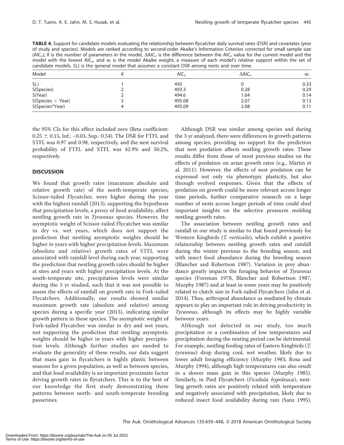TABLE 4. Support for candidate models evaluating the relationship between flycatcher daily survival rates (DSR) and covariates (year of study and species). Models are ranked according to second-order Akaike's Information Criterion corrected for small sample size (AIC<sub>c</sub>); K is the number of parameters in the model,  $\Delta AIC_c$  is the difference between the AIC<sub>c</sub> value for the current model and the model with the lowest AIC<sub>c</sub>, and w<sub>i</sub> is the model Akaike weight, a measure of each model's relative support within the set of candidate models. S(.) is the general model that assumes a constant DSR among nests and over time.

| Model               | $AIC_{c}$ | $\Delta$ AIC <sub>c</sub> | $W_i$ |
|---------------------|-----------|---------------------------|-------|
| S(.)                | 493       |                           | 0.33  |
| S(Species)          | 493.3     | 0.28                      | 0.29  |
| S(Year)             | 494.6     | 1.64                      | 0.14  |
| $S(Species + Year)$ | 495.08    | 2.07                      | 0.12  |
| S(Species*Year)     | 495.09    | 2.08                      | 0.11  |

the 95% CIs for this effect included zero (Beta coefficient:  $0.25 \pm 0.15$ , Inf.:  $-0.03$ , Sup.: 0.54). The DSR for FTFL and STFL was 0.97 and 0.98, respectively, and the nest survival probability of FTFL and STFL was 42.9% and 50.2%, respectively.

## **DISCUSSION**

We found that growth rates (maximum absolute and relative growth rate) of the north-temperate species, Scissor-tailed Flycatcher, were higher during the year with the highest rainfall (2013), supporting the hypothesis that precipitation levels, a proxy of food availability, affect nestling growth rate in Tyrannus species. However, the asymptotic weight of Scissor-tailed Flycatcher was similar in dry vs. wet years, which does not support the prediction that nestling asymptotic weights should be higher in years with higher precipitation levels. Maximum (absolute and relative) growth rates of STFL were associated with rainfall level during each year, supporting the prediction that nestling growth rates should be higher at sites and years with higher precipitation levels. At the south-temperate site, precipitation levels were similar during the 3 yr studied, such that it was not possible to assess the effects of rainfall on growth rate in Fork-tailed Flycatchers. Additionally, our results showed similar maximum growth rate (absolute and relative) among species during a specific year (2013), indicating similar growth pattern in these species. The asymptotic weight of Fork-tailed Flycatcher was similar in dry and wet years, not supporting the prediction that nestling asymptotic weights should be higher in years with higher precipitation levels. Although further studies are needed to evaluate the generality of these results, our data suggest that mass gain in flycatchers is highly plastic between seasons for a given population, as well as between species, and that food availability is an important proximate factor driving growth rates in flycatchers. This is to the best of our knowledge the first study demonstrating these patterns between north- and south-temperate breeding passerines.

Although DSR was similar among species and during the 3 yr analyzed, there were differences in growth patterns among species, providing no support for the prediction that nest predation affects nestling growth rates. These results differ from those of most previous studies on the effects of predation on avian growth rates (e.g., Martin et al. 2011). However, the effects of nest predation can be expressed not only via phenotypic plasticity, but also through evolved responses. Given that the effects of predation on growth could be more relevant across longer time periods, further comparative research on a large number of nests across longer periods of time could shed important insights on the selective pressures molding nestling growth rates.

The association between nestling growth rates and rainfall in our study is similar to that found previously for Western Kingbirds (T. verticalis), which exhibit a positive relationship between nestling growth rates and rainfall during the winter previous to the breeding season, and with insect food abundance during the breeding season (Blancher and Robertson 1987). Variation in prey abundance greatly impacts the foraging behavior of Tyrannus species (Foreman 1978, Blancher and Robertson 1987, Murphy 1987) and at least in some years may be positively related to clutch size in Fork-tailed Flycatchers (Jahn et al. 2014). Thus, arthropod abundance as mediated by climate appears to play an important role in driving productivity in Tyrannus, although its effects may be highly variable between years.

Although not detected in our study, too much precipitation or a combination of low temperatures and precipitation during the nesting period can be detrimental. For example, nestling feeding rates of Eastern Kingbirds (T. tyrannus) drop during cool, wet weather, likely due to lower adult foraging efficiency (Murphy 1983, Rosa and Murphy 1994), although high temperatures can also result in a slower mass gain in this species (Murphy 1985). Similarly, in Pied Flycatchers (Ficedula hypoleuca), nestling growth rates are positively related with temperature and negatively associated with precipitation, likely due to reduced insect food availability during rain (Sanz 1995).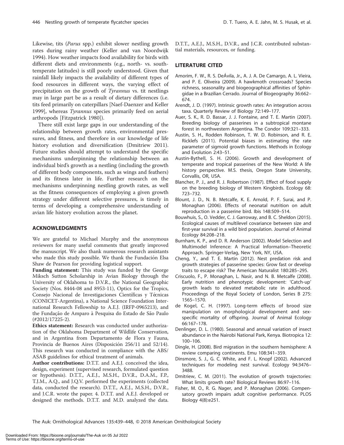Likewise, tits (Parus spp.) exhibit slower nestling growth rates during rainy weather (Keller and van Noordwijk 1994). How weather impacts food availability for birds with different diets and environments (e.g., north- vs. southtemperate latitudes) is still poorly understood. Given that rainfall likely impacts the availability of different types of food resources in different ways, the varying effect of precipitation on the growth of Tyrannus vs. tit nestlings may in large part be as a result of dietary differences (i.e. tits feed primarily on caterpillars [Naef-Daenzer and Keller 1999], whereas Tyrannus species primarily feed on aerial arthropods [Fitzpatrick 1980]).

There still exist large gaps in our understanding of the relationship between growth rates, environmental pressures, and fitness, and therefore in our knowledge of life history evolution and diversification (Dmitriew 2011). Future studies should attempt to understand the specific mechanisms underpinning the relationship between an individual bird's growth as a nestling (including the growth of different body components, such as wings and feathers) and its fitness later in life. Further research on the mechanisms underpinning nestling growth rates, as well as the fitness consequences of employing a given growth strategy under different selective pressures, is timely in terms of developing a comprehensive understanding of avian life history evolution across the planet.

#### ACKNOWLEDGMENTS

We are grateful to Michael Murphy and the anonymous reviewers for many useful comments that greatly improved the manuscript. We also thank numerous research assistants who made this study possible. We thank the Fundación Elsa Shaw de Pearson for providing logistical support.

Funding statement: This study was funded by the George Miksch Sutton Scholarship in Avian Biology through the University of Oklahoma to D.V.R., the National Geographic Society (Nos. 8444-08 and 8953-11), Optics for the Tropics, Consejo Nacional de Investigaciones Científicas y Técnicas (CONICET-Argentina), a National Science Foundation International Research Fellowship to A.E.J. (IRFP-0965213), and the Fundação de Amparo à Pesquisa do Estado de São Paulo (#2012/17225-2).

Ethics statement: Research was conducted under authorization of the Oklahoma Department of Wildlife Conservation, and in Argentina from Departamento de Flora y Fauna, Provincia de Buenos Aires (Disposición 256/11 and 52/14). This research was conducted in compliance with the ABS/ ASAB guidelines for ethical treatment of animals.

Author contributions: D.T.T. and A.E.J. conceived the idea, design, experiment (supervised research, formulated question or hypothesis). D.T.T., A.E.J., M.S.H., D.V.R., D.A.M., F.P., T.J.M., A.Q., and J.Q.V. performed the experiments (collected data, conducted the research). D.T.T., A.E.J., M.S.H., D.V.R., and J.C.R. wrote the paper. 4. D.T.T. and A.E.J. developed or designed the methods. D.T.T. and M.D. analyzed the data.

D.T.T., A.E.J., M.S.H., D.V.R., and J.C.R. contributed substantial materials, resources, or funding.

## LITERATURE CITED

- Amorim, F. W., R. S. DeÁvila, Jr., A. J. A. De Camargo, A. L. Vieira, and P. E. Oliveira (2009). A hawkmoth crossroads? Species richness, seasonality and biogeographical affinities of Sphingidae in a Brazilian Cerrado. Journal of Biogeography 36:662– 674.
- Arendt, J. D. (1997). Intrinsic growth rates: An integration across taxa. Quarterly Review of Biology 72:149–177.
- Auer, S. K., R. D. Bassar, J. J. Fontaine, and T. E. Martin (2007). Breeding biology of passerines in a subtropical montane forest in northwestern Argentina. The Condor 109:321–333.
- Austin, S. H., Rodden Robinson, T. W. D. Robinson, and R. E. Ricklefs (2011). Potential biases in estimating the rate parameter of sigmoid growth functions. Methods in Ecology and Evolution 2:43–51.
- Austin-Bythell, S. H. (2006). Growth and development of temperate and tropical passerines of the New World: A life history perspective. M.S. thesis, Oregon State University, Corvallis, OR, USA.
- Blancher, P. J., and R. J. Robertson (1987). Effect of food supply on the breeding biology of Western Kingbirds. Ecology 68: 723–732.
- Blount, J. D., N. B. Metcalfe, K. E. Arnold, P. F. Surai, and P. Monaghan (2006). Effects of neonatal nutrition on adult reproduction in a passerine bird. Ibis 148:509–514.
- Bouwhuis, S., O. Vedder, C. J. Garroway, and B. C. Sheldon (2015). Ecological causes of multilevel covariance between size and first-year survival in a wild bird population. Journal of Animal Ecology 84:208–218.
- Burnham, K. P., and D. R. Anderson (2002). Model Selection and Multimodel Inference: A Practical Information–Theoretic Approach. Springer-Verlag, New York, NY, USA.
- Cheng, Y., and T. E. Martin (2012). Nest predation risk and growth strategies of passerine species: Grow fast or develop traits to escape risk? The American Naturalist 180:285–295.
- Criscuolo, F., P. Monaghan, L. Nasir, and N. B. Metcalfe (2008). Early nutrition and phenotypic development: 'Catch-up' growth leads to elevated metabolic rate in adulthood. Proceedings of the Royal Society of London, Series B 275: 1565–1570.
- de Kogel, C. H. (1997). Long-term effects of brood size manipulation on morphological development and sexspecific mortality of offspring. Journal of Animal Ecology 66:167–178.
- Denlinger, D. L. (1980). Seasonal and annual variation of insect abundance in the Nairobi National Park, Kenya. Biotropica 12: 100–106.
- Dingle, H. (2008). Bird migration in the southern hemisphere: A review comparing continents. Emu 108:341–359.
- Dinsmore, S. J., G. C. White, and F. L. Knopf (2002). Advanced techniques for modeling nest survival. Ecology 94:3476– 3488.
- Dmitriew, C. M. (2011). The evolution of growth trajectories: What limits growth rate? Biological Reviews 86:97–116.
- Fisher, M. O., R. G. Nager, and P. Monaghan (2006). Compensatory growth impairs adult cognitive performance. PLOS Biology 4(8):e251.

The Auk: Ornithological Advances 135:439-448, © 2018 American Ornithological Society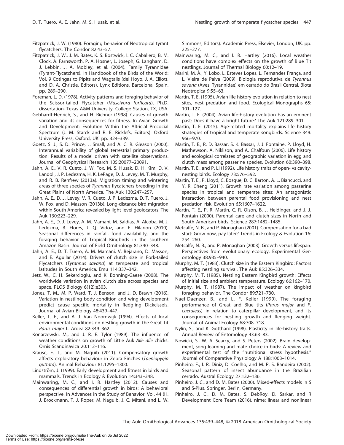- Fitzpatrick, J. W. (1980). Foraging behavior of Neotropical tyrant flycatchers. The Condor 82:43–57.
- Fitzpatrick, J. W., J. M. Bates, K. S. Bostwick, I. C. Caballero, B. M. Clock, A. Farnsworth, P. A. Hosner, L. Joseph, G. Langham, D. J. Lebbin, J. A. Mobley, et al. (2004). Family Tyrannidae (Tyrant-Flycatchers). In Handbook of the Birds of the World: Vol. 9 Cotingas to Pipits and Wagtails (del Hoyo, J. A. Elliott, and D. A. Christie, Editors). Lynx Editions, Barcelona, Spain. pp. 289–290.
- Foreman, L. D. (1978). Activity patterns and foraging behavior of the Scissor-tailed Flycatcher (Muscivora forficata). Ph.D. dissertation, Texas A&M University, College Station, TX, USA.
- Gebhardt-Henrich, S., and H. Richner (1998). Causes of growth variation and its consequences for fitness. In Avian Growth and Development: Evolution Within the Altricial–Precocial Spectrum (J. M. Starck and R. E. Ricklefs, Editors). Oxford University Press, Oxford, UK. pp. 324–339.
- Goetz, S. J., S. D. Prince, J. Small, and A. C. R. Gleason (2000). Interannual variability of global terrestrial primary production: Results of a model driven with satellite observations. Journal of Geophysical Research 105:20077–20091.
- Jahn, A. E., V. R. Cueto, J. W. Fox, M. S. Husak, D. H. Kim, D. V. Landoll, J. P. Ledezma, H. K. LePage, D. J. Levey, M. T. Murphy, and R. B. Renfrew (2013a). Migration timing and wintering areas of three species of Tyrannus flycatchers breeding in the Great Plains of North America. The Auk 130:247–257.
- Jahn, A. E., D. J. Levey, V. R. Cueto, J. P. Ledezma, D. T. Tuero, J. W. Fox, and D. Masson (2013b). Long-distance bird migration within South America revealed by light-level geolocators. The Auk 130:223–229.
- Jahn, A. E., D. J. Levey, A. M. Mamani, M. Saldias, A. Alcoba, M. J. Ledezma, B. Flores, J. Q. Vidoz, and F. Hilarion (2010). Seasonal differences in rainfall, food availability, and the foraging behavior of Tropical Kingbirds in the southern Amazon Basin. Journal of Field Ornithology 81:340–348.
- Jahn, A. E., D. T. Tuero, A. M. Mamani, V. Bejarano, D. Masson, and E. Aguilar (2014). Drivers of clutch size in Fork-tailed Flycatchers (Tyrannus savana) at temperate and tropical latitudes in South America. Emu 114:337–342.
- Jetz, W., C. H. Sekercioglu, and K. Bohning-Gaese (2008). The worldwide variation in avian clutch size across species and space. PLOS Biology 6(12):e303.
- Jones, T. M., M. P. Ward, T. J. Benson, and J. D. Brawn (2016). Variation in nestling body condition and wing development predict cause specific mortality in fledgling Dickcissels. Journal of Avian Biology 48:439–447.
- Keller, L. F., and A. J. Van Noordwijk (1994). Effects of local environmental conditions on nestling growth in the Great Tit Parus major L. Ardea 82:349–362.
- Konarzewski, M., and J. R. E. Tylor (1989). The influence of weather conditions on growth of Little Auk Alle alle chicks. Ornis Scandinavica 20:112–116.
- Krause, E. T., and M. Naguib (2011). Compensatory growth affects exploratory behaviour in Zebra Finches (Taeniopygia guttata). Animal Behaviour 81:1295–1300.
- Lindström, J. (1999). Early development and fitness in birds and mammals. Trends in Ecology & Evolution 14:343–348.
- Mainwaring, M. C., and I. R. Hartley (2012). Causes and consequences of differential growth in birds: A behavioral perspective. In Advances in the Study of Behavior, Vol. 44 (H. J. Brockmann, T. J. Roper, M. Naguib, J. C. Mitani, and L. W.

Simmons, Editors). Academic Press, Elsevier, London, UK. pp. 225–277.

- Mainwaring, M. C., and I. R. Hartley (2016). Local weather conditions have complex effects on the growth of Blue Tit nestlings. Journal of Thermal Biology 60:12–19.
- Marini, M. Â., Y. Lobo, L. Esteves Lopes, L. Fernandes França, and L. Vieira de Paiva (2009). Biologia reprodutiva de Tyrannus savana (Aves, Tyrannidae) em cerrado do Brasil Central. Biota Neotropica 9:55–63.
- Martin, T. E. (1995). Avian life history evolution in relation to nest sites, nest predation and food. Ecological Monographs 65: 101–127.
- Martin, T. E. (2004). Avian life-history evolution has an eminent past: Does it have a bright future? The Auk 121:289–301.
- Martin, T. E. (2015). Age-related mortality explains life history strategies of tropical and temperate songbirds. Science 349: 966–970.
- Martin, T. E., R. D. Bassar, S. K. Bassar, J. J. Fontaine, P. Lloyd, H. Mathewson, A. Niklison, and A. Chalfoun (2006). Life history and ecological correlates of geographic variation in egg and clutch mass among passerine species. Evolution 60:390–398.
- Martin, T. E., and P. Li (1992). Life history traits of open- vs cavitynesting birds. Ecology 73:576–592.
- Martin, T. E., P. Lloyd, C. Bosque, D. C. Barton, A. L. Biancucci, and Y. R. Cheng (2011). Growth rate variation among passerine species in tropical and temperate sites: An antagonistic interaction between parental food provisioning and nest predation risk. Evolution 65:1607–1622.
- Martin, T. E., P. R. Martin, C. R. Olson, B. J. Heidinger, and J. J. Fontain (2000). Parental care and clutch sizes in North and South American birds. Science 287:1482–1485.
- Metcalfe, N. B., and P. Monaghan (2001). Compensation for a bad start: Grow now, pay later? Trends in Ecology & Evolution 16: 254–260.
- Metcalfe, N. B., and P. Monaghan (2003). Growth versus lifespan: Perspectives from evolutionary ecology. Experimental Gerontology 38:935–940.
- Murphy, M. T. (1983). Clutch size in the Eastern Kingbird: Factors affecting nestling survival. The Auk 85:326–334.
- Murphy, M. T. (1985). Nestling Eastern Kingbird growth: Effects of initial size and ambient temperature. Ecology 66:162–170.
- Murphy, M. T. (1987). The impact of weather on kingbird foraging behavior. The Condor 89:721–730.
- Naef-Daenzer, B., and L. F. Keller (1999). The foraging performance of Great and Blue tits (Parus major and P. caeruleus) in relation to caterpillar development, and its consequences for nestling growth and fledging weight. Journal of Animal Ecology 68:708–718.
- Nylin, S., and K. Gotthard (1998). Plasticity in life-history traits. Annual Review of Entomology 43:63–83.
- Nowicki, S., W. A. Searcy, and S. Peters (2002). Brain development, song learning and mate choice in birds: A review and experimental test of the ''nutritional stress hypothesis.'' Journal of Comparative Physiology A 188:1003–1014.
- Pinheiro, F., I. R. Diniz, D. Coelho, and M. P. S. Bandeira (2002). Seasonal pattern of insect abundance in the Brazilian cerrado. Austral Ecology 27:132–136.
- Pinheiro, J. C., and D. M. Bates (2000). Mixed-effects models in S and S-Plus. Springer, Berlin, Germany.
- Pinheiro, J. C., D. M. Bates, S. DebRoy, D. Sarkar, and R Development Core Team (2016). nlme: linear and nonlinear